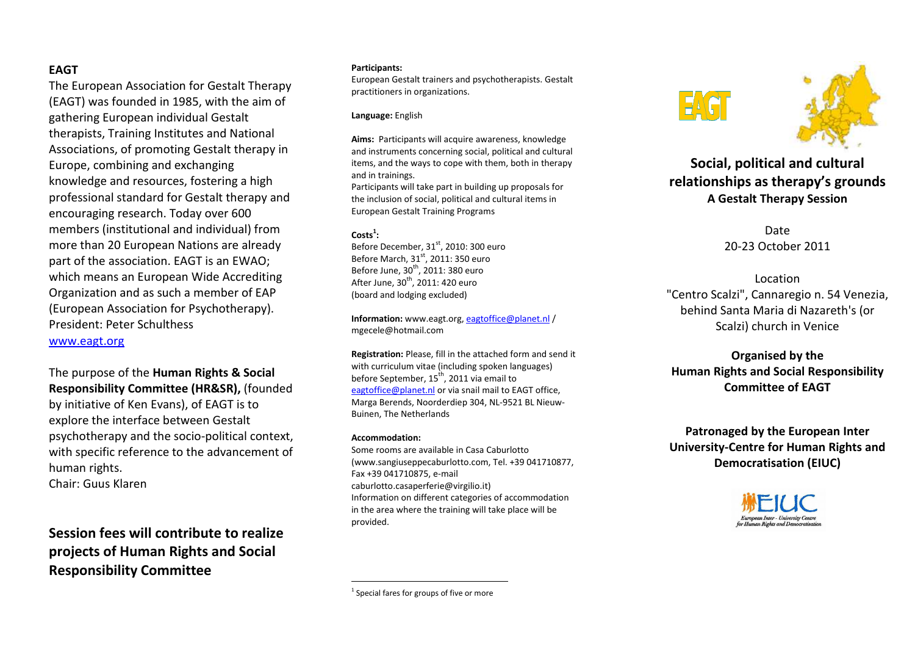### **EAGT**

The European Association for Gestalt Therapy (EAGT) was founded in 1985, with the aim of gathering European individual Gestalt therapists, Training Institutes and National Associations, of promoting Gestalt therapy in Europe, combining and exchanging knowledge and resources, fostering a high professional standard for Gestalt therapy and encouraging research. Today over 600 members (institutional and individual) from more than 20 European Nations are already part of the association. EAGT is an EWAO; which means an European Wide Accrediting Organization and as such a member of EAP (European Association for Psychotherapy). President: Peter Schulthess www.eagt.org

The purpose of the **Human Rights & Social Responsibility Committee (HR&SR),** (founded by initiative of Ken Evans), of EAGT is to explore the interface between Gestalt psychotherapy and the socio-political context, with specific reference to the advancement of human rights. Chair: Guus Klaren

**Session fees will contribute to realize projects of Human Rights and Social Responsibility Committee** 

#### **Participants:**

European Gestalt trainers and psychotherapists. Gestalt practitioners in organizations.

#### **Language:** English

**Aims:** Participants will acquire awareness, knowledge and instruments concerning social, political and cultural items, and the ways to cope with them, both in therapy and in trainings. Participants will take part in building up proposals for the inclusion of social, political and cultural items in

**Costs1 :** 

Before December, 31 $^{\rm st}$ , 2010: 300 euro Before March, 31<sup>st</sup>, 2011: 350 euro Before June,  $30<sup>th</sup>$ , 2011: 380 euro After June,  $30<sup>th</sup>$ , 2011: 420 euro (board and lodging excluded)

European Gestalt Training Programs

**Information:** www.eagt.org, eagtoffice@planet.nl / mgecele@hotmail.com

**Registration:** Please, fill in the attached form and send it with curriculum vitae (including spoken languages) before September,  $15^{th}$ , 2011 via email to eagtoffice@planet.nl or via snail mail to EAGT office, Marga Berends, Noorderdiep 304, NL-9521 BL Nieuw-Buinen, The Netherlands

#### **Accommodation:**

Some rooms are available in Casa Caburlotto (www.sangiuseppecaburlotto.com, Tel. +39 041710877,Fax +39 041710875, e-mail caburlotto.casaperferie@virgilio.it) Information on different categories of accommodation in the area where the training will take place will be provided.





**Social, political and cultural relationships as therapy's grounds A Gestalt Therapy Session** 

> Date 20-23 October 2011

Location "Centro Scalzi", Cannaregio n. 54 Venezia, behind Santa Maria di Nazareth's (or Scalzi) church in Venice

# **Organised by the Human Rights and Social Responsibility Committee of EAGT**

**Patronaged by the European Inter University-Centre for Human Rights and Democratisation (EIUC)** 



 $1$  Special fares for groups of five or more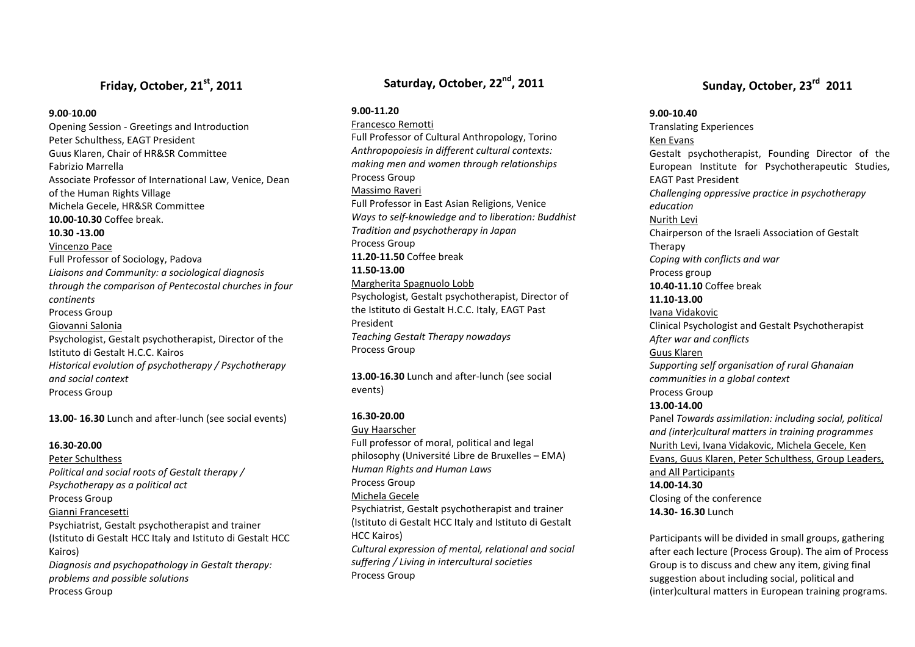# **Friday, October, 21st, <sup>2011</sup>**

### **9.00**-**10.00**

 Opening Session - Greetings and Introduction Peter Schulthess, EAGT President Guus Klaren, Chair of HR&SR Committee Fabrizio Marrella Associate Professor of International Law, Venice, Dean of the Human Rights Village Michela Gecele, HR&SR Committee **10.00-10.30** Coffee break. **10.30 -13.00** Vincenzo Pace Full Professor of Sociology, Padova *Liaisons and Community: a sociological diagnosis through the comparison of Pentecostal churches in four continents* Process Group Giovanni Salonia Psychologist, Gestalt psychotherapist, Director of the Istituto di Gestalt H.C.C. Kairos *Historical evolution of psychotherapy / Psychotherapy and social context*Process Group

**13.00- 16.30** Lunch and after-lunch (see social events)

### **16.30-20.00**

Peter Schulthess *Political and social roots of Gestalt therapy / Psychotherapy as a political act* Process Group Gianni Francesetti Psychiatrist, Gestalt psychotherapist and trainer (Istituto di Gestalt HCC Italy and Istituto di Gestalt HCC Kairos) *Diagnosis and psychopathology in Gestalt therapy: problems and possible solutions* Process Group

## **Saturday, October, 22nd, <sup>2011</sup>**

**9.00-11.20** 

Francesco RemottiFull Professor of Cultural Anthropology, Torino *Anthropopoiesis in different cultural contexts: making men and women through relationships* Process Group Massimo RaveriFull Professor in East Asian Religions, Venice *Ways to self-knowledge and to liberation: Buddhist Tradition and psychotherapy in Japan* Process Group **11.20-11.50** Coffee break **11.50-13.00** Margherita Spagnuolo Lobb Psychologist, Gestalt psychotherapist, Director of the Istituto di Gestalt H.C.C. Italy, EAGT Past President *Teaching Gestalt Therapy nowadays* Process Group

**13.00-16.30** Lunch and after-lunch (see social events)

### **16.30-20.00**

Guy Haarscher

 Full professor of moral, political and legal philosophy (Université Libre de Bruxelles – EMA) *Human Rights and Human Laws*Process Group Michela Gecele Psychiatrist, Gestalt psychotherapist and trainer (Istituto di Gestalt HCC Italy and Istituto di Gestalt HCC Kairos) *Cultural expression of mental, relational and social suffering / Living in intercultural societies* Process Group

# **Sunday, October, 23rd 2011**

### **9.00-10.40**

Translating Experiences Ken Evans Gestalt psychotherapist, Founding Director of the European Institute for Psychotherapeutic Studies, EAGT Past President *Challenging oppressive practice in psychotherapy education* Nurith Levi Chairperson of the Israeli Association of Gestalt Therapy *Coping with conflicts and war* Process group **10.40-11.10** Coffee break **11.10-13.00** Ivana Vidakovic Clinical Psychologist and Gestalt Psychotherapist *After war and conflicts* Guus Klaren *Supporting self organisation of rural Ghanaian communities in a global context* Process Group **13.00-14.00** Panel *Towards assimilation: including social, political and (inter)cultural matters in training programmes*Nurith Levi, Ivana Vidakovic, Michela Gecele, Ken Evans, Guus Klaren, Peter Schulthess, Group Leaders, and All Participants**14.00-14.30** Closing of the conference **14.30- 16.30** Lunch

Participants will be divided in small groups, gathering after each lecture (Process Group). The aim of Process Group is to discuss and chew any item, giving finalsuggestion about including social, political and (inter)cultural matters in European training programs.